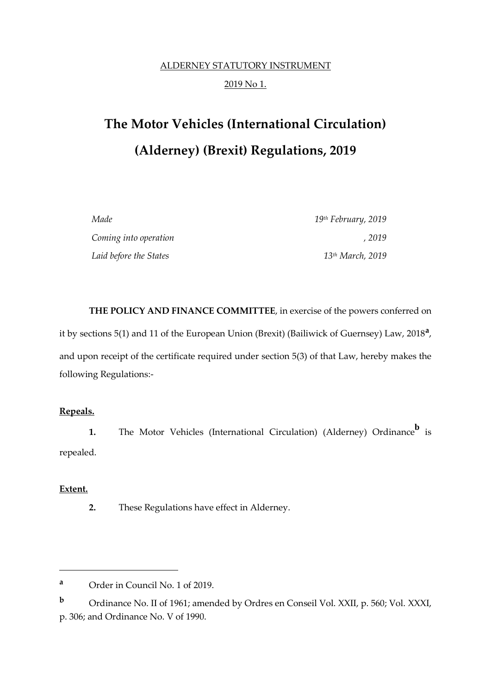## ALDERNEY STATUTORY INSTRUMENT 2019 No 1.

# **The Motor Vehicles (International Circulation) (Alderney) (Brexit) Regulations, 2019**

| Made                   | 19 <sup>th</sup> February, 2019 |
|------------------------|---------------------------------|
| Coming into operation  | . 2019                          |
| Laid before the States | 13 <sup>th</sup> March, 2019    |

**THE POLICY AND FINANCE COMMITTEE**, in exercise of the powers conferred on it by sections 5(1) and 11 of the European Union (Brexit) (Bailiwick of Guernsey) Law, 2018**<sup>a</sup>** , and upon receipt of the certificate required under section 5(3) of that Law, hereby makes the following Regulations:-

#### **Repeals.**

**1.** The Motor Vehicles (International Circulation) (Alderney) Ordinance<sup>b</sup> is repealed.

#### **Extent.**

**.** 

**2.** These Regulations have effect in Alderney.

**<sup>a</sup>** Order in Council No. 1 of 2019.

**<sup>b</sup>** Ordinance No. II of 1961; amended by Ordres en Conseil Vol. XXII, p. 560; Vol. XXXI, p. 306; and Ordinance No. V of 1990.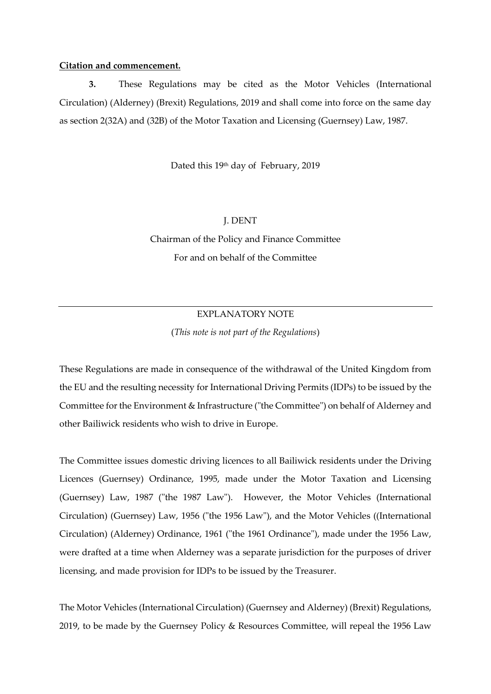#### **Citation and commencement.**

**3.** These Regulations may be cited as the Motor Vehicles (International Circulation) (Alderney) (Brexit) Regulations, 2019 and shall come into force on the same day as section 2(32A) and (32B) of the Motor Taxation and Licensing (Guernsey) Law, 1987.

Dated this 19<sup>th</sup> day of February, 2019

### J. DENT

Chairman of the Policy and Finance Committee For and on behalf of the Committee

#### EXPLANATORY NOTE

(*This note is not part of the Regulations*)

These Regulations are made in consequence of the withdrawal of the United Kingdom from the EU and the resulting necessity for International Driving Permits (IDPs) to be issued by the Committee for the Environment & Infrastructure ("the Committee") on behalf of Alderney and other Bailiwick residents who wish to drive in Europe.

The Committee issues domestic driving licences to all Bailiwick residents under the Driving Licences (Guernsey) Ordinance, 1995, made under the Motor Taxation and Licensing (Guernsey) Law, 1987 ("the 1987 Law"). However, the Motor Vehicles (International Circulation) (Guernsey) Law, 1956 ("the 1956 Law"), and the Motor Vehicles ((International Circulation) (Alderney) Ordinance, 1961 ("the 1961 Ordinance"), made under the 1956 Law, were drafted at a time when Alderney was a separate jurisdiction for the purposes of driver licensing, and made provision for IDPs to be issued by the Treasurer.

The Motor Vehicles (International Circulation) (Guernsey and Alderney) (Brexit) Regulations, 2019, to be made by the Guernsey Policy & Resources Committee, will repeal the 1956 Law